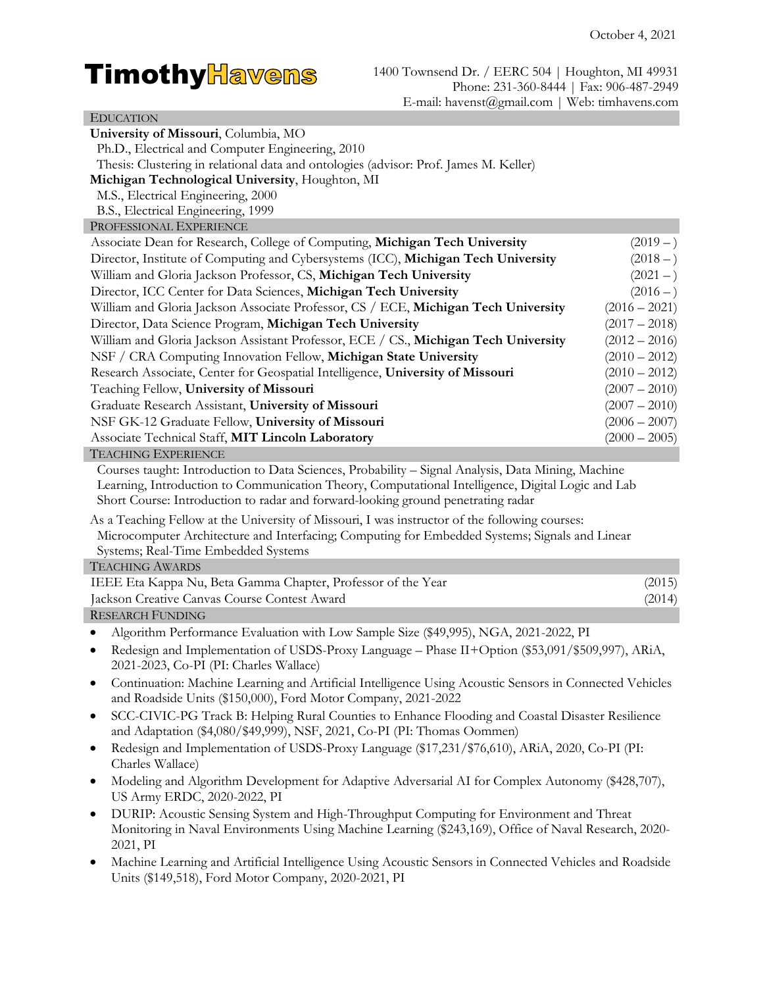## **TimothyHavens**

| <b>EDUCATION</b>                                                                                                                                                                                                                                                                            |                 |
|---------------------------------------------------------------------------------------------------------------------------------------------------------------------------------------------------------------------------------------------------------------------------------------------|-----------------|
| University of Missouri, Columbia, MO                                                                                                                                                                                                                                                        |                 |
| Ph.D., Electrical and Computer Engineering, 2010                                                                                                                                                                                                                                            |                 |
| Thesis: Clustering in relational data and ontologies (advisor: Prof. James M. Keller)                                                                                                                                                                                                       |                 |
| Michigan Technological University, Houghton, MI                                                                                                                                                                                                                                             |                 |
| M.S., Electrical Engineering, 2000                                                                                                                                                                                                                                                          |                 |
| B.S., Electrical Engineering, 1999                                                                                                                                                                                                                                                          |                 |
| PROFESSIONAL EXPERIENCE                                                                                                                                                                                                                                                                     |                 |
| Associate Dean for Research, College of Computing, Michigan Tech University                                                                                                                                                                                                                 | $(2019 - )$     |
| Director, Institute of Computing and Cybersystems (ICC), Michigan Tech University                                                                                                                                                                                                           | $(2018-)$       |
| William and Gloria Jackson Professor, CS, Michigan Tech University                                                                                                                                                                                                                          | $(2021 - )$     |
| Director, ICC Center for Data Sciences, Michigan Tech University                                                                                                                                                                                                                            | $(2016 - )$     |
| William and Gloria Jackson Associate Professor, CS / ECE, Michigan Tech University                                                                                                                                                                                                          | $(2016 - 2021)$ |
| Director, Data Science Program, Michigan Tech University                                                                                                                                                                                                                                    | $(2017 - 2018)$ |
| William and Gloria Jackson Assistant Professor, ECE / CS., Michigan Tech University                                                                                                                                                                                                         | $(2012 - 2016)$ |
| NSF / CRA Computing Innovation Fellow, Michigan State University                                                                                                                                                                                                                            | $(2010 - 2012)$ |
| Research Associate, Center for Geospatial Intelligence, University of Missouri                                                                                                                                                                                                              | $(2010 - 2012)$ |
| Teaching Fellow, University of Missouri                                                                                                                                                                                                                                                     | $(2007 - 2010)$ |
| Graduate Research Assistant, University of Missouri                                                                                                                                                                                                                                         | $(2007 - 2010)$ |
| NSF GK-12 Graduate Fellow, University of Missouri                                                                                                                                                                                                                                           | $(2006 - 2007)$ |
| Associate Technical Staff, MIT Lincoln Laboratory                                                                                                                                                                                                                                           | $(2000 - 2005)$ |
| <b>TEACHING EXPERIENCE</b>                                                                                                                                                                                                                                                                  |                 |
| Courses taught: Introduction to Data Sciences, Probability - Signal Analysis, Data Mining, Machine<br>Learning, Introduction to Communication Theory, Computational Intelligence, Digital Logic and Lab<br>Short Course: Introduction to radar and forward-looking ground penetrating radar |                 |
| As a Teaching Fellow at the University of Missouri, I was instructor of the following courses:<br>Microcomputer Architecture and Interfacing; Computing for Embedded Systems; Signals and Linear<br>Systems; Real-Time Embedded Systems                                                     |                 |
| <b>TEACHING AWARDS</b>                                                                                                                                                                                                                                                                      |                 |
| IEEE Eta Kappa Nu, Beta Gamma Chapter, Professor of the Year                                                                                                                                                                                                                                | (2015)          |
| Jackson Creative Canvas Course Contest Award                                                                                                                                                                                                                                                | (2014)          |
| <b>RESEARCH FUNDING</b>                                                                                                                                                                                                                                                                     |                 |
| Algorithm Performance Evaluation with Low Sample Size (\$49,995), NGA, 2021-2022, PI                                                                                                                                                                                                        |                 |
| Redesign and Implementation of USDS-Proxy Language - Phase II+Option (\$53,091/\$509,997), ARiA,<br>2021-2023, Co-PI (PI: Charles Wallace)                                                                                                                                                  |                 |
| Continuation: Machine Learning and Artificial Intelligence Using Acoustic Sensors in Connected Vehicles<br>٠<br>and Roadside Units (\$150,000), Ford Motor Company, 2021-2022                                                                                                               |                 |
| SCC-CIVIC-PG Track B: Helping Rural Counties to Enhance Flooding and Coastal Disaster Resilience<br>٠<br>and Adaptation (\$4,080/\$49,999), NSF, 2021, Co-PI (PI: Thomas Oommen)                                                                                                            |                 |
| Redesign and Implementation of USDS-Proxy Language (\$17,231/\$76,610), ARiA, 2020, Co-PI (PI:<br>٠<br>Charles Wallace)                                                                                                                                                                     |                 |
| Modeling and Algorithm Development for Adaptive Adversarial AI for Complex Autonomy (\$428,707),<br>٠<br>US Army ERDC, 2020-2022, PI                                                                                                                                                        |                 |
| DURIP: Acoustic Sensing System and High-Throughput Computing for Environment and Threat<br>٠                                                                                                                                                                                                |                 |
| Monitoring in Naval Environments Using Machine Learning (\$243,169), Office of Naval Research, 2020-<br>2021, PI                                                                                                                                                                            |                 |
| Machine Learning and Artificial Intelligence Using Acoustic Sensors in Connected Vehicles and Roadside<br>٠                                                                                                                                                                                 |                 |
| Units (\$149,518), Ford Motor Company, 2020-2021, PI                                                                                                                                                                                                                                        |                 |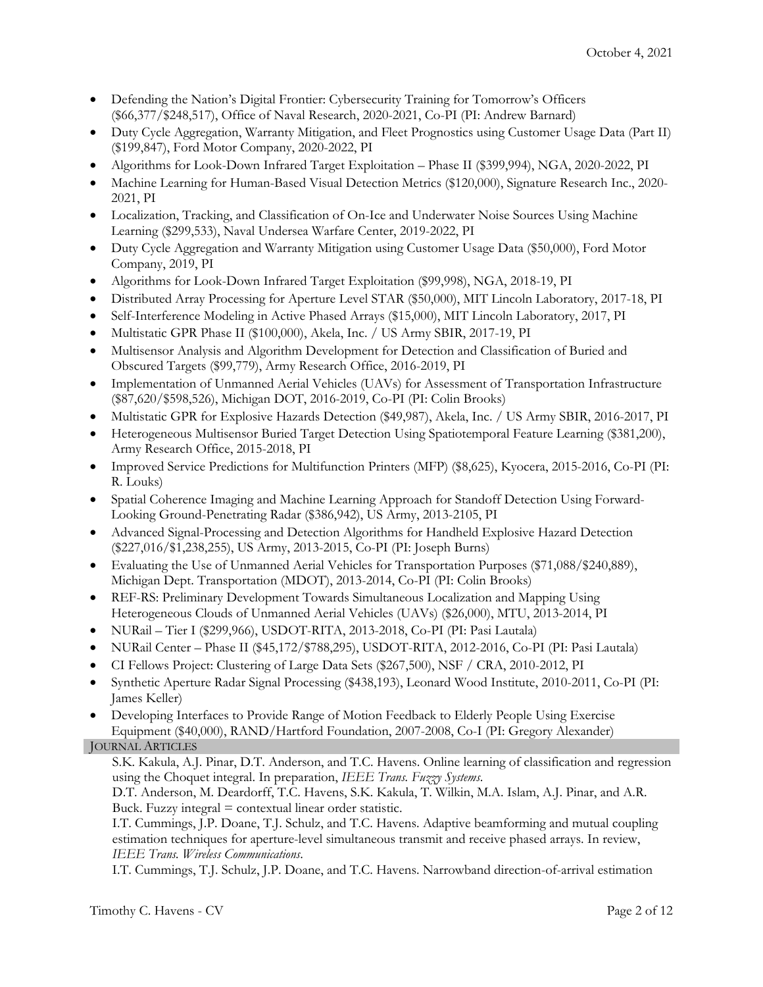- Defending the Nation's Digital Frontier: Cybersecurity Training for Tomorrow's Officers (\$66,377/\$248,517), Office of Naval Research, 2020-2021, Co-PI (PI: Andrew Barnard)
- Duty Cycle Aggregation, Warranty Mitigation, and Fleet Prognostics using Customer Usage Data (Part II) (\$199,847), Ford Motor Company, 2020-2022, PI
- Algorithms for Look-Down Infrared Target Exploitation Phase II (\$399,994), NGA, 2020-2022, PI
- Machine Learning for Human-Based Visual Detection Metrics (\$120,000), Signature Research Inc., 2020- 2021, PI
- Localization, Tracking, and Classification of On-Ice and Underwater Noise Sources Using Machine Learning (\$299,533), Naval Undersea Warfare Center, 2019-2022, PI
- Duty Cycle Aggregation and Warranty Mitigation using Customer Usage Data (\$50,000), Ford Motor Company, 2019, PI
- Algorithms for Look-Down Infrared Target Exploitation (\$99,998), NGA, 2018-19, PI
- Distributed Array Processing for Aperture Level STAR (\$50,000), MIT Lincoln Laboratory, 2017-18, PI
- Self-Interference Modeling in Active Phased Arrays (\$15,000), MIT Lincoln Laboratory, 2017, PI
- Multistatic GPR Phase II (\$100,000), Akela, Inc. / US Army SBIR, 2017-19, PI
- Multisensor Analysis and Algorithm Development for Detection and Classification of Buried and Obscured Targets (\$99,779), Army Research Office, 2016-2019, PI
- Implementation of Unmanned Aerial Vehicles (UAVs) for Assessment of Transportation Infrastructure (\$87,620/\$598,526), Michigan DOT, 2016-2019, Co-PI (PI: Colin Brooks)
- Multistatic GPR for Explosive Hazards Detection (\$49,987), Akela, Inc. / US Army SBIR, 2016-2017, PI
- Heterogeneous Multisensor Buried Target Detection Using Spatiotemporal Feature Learning (\$381,200), Army Research Office, 2015-2018, PI
- Improved Service Predictions for Multifunction Printers (MFP) (\$8,625), Kyocera, 2015-2016, Co-PI (PI: R. Louks)
- Spatial Coherence Imaging and Machine Learning Approach for Standoff Detection Using Forward-Looking Ground-Penetrating Radar (\$386,942), US Army, 2013-2105, PI
- Advanced Signal-Processing and Detection Algorithms for Handheld Explosive Hazard Detection (\$227,016/\$1,238,255), US Army, 2013-2015, Co-PI (PI: Joseph Burns)
- Evaluating the Use of Unmanned Aerial Vehicles for Transportation Purposes (\$71,088/\$240,889), Michigan Dept. Transportation (MDOT), 2013-2014, Co-PI (PI: Colin Brooks)
- REF-RS: Preliminary Development Towards Simultaneous Localization and Mapping Using Heterogeneous Clouds of Unmanned Aerial Vehicles (UAVs) (\$26,000), MTU, 2013-2014, PI
- NURail Tier I (\$299,966), USDOT-RITA, 2013-2018, Co-PI (PI: Pasi Lautala)
- NURail Center Phase II (\$45,172/\$788,295), USDOT-RITA, 2012-2016, Co-PI (PI: Pasi Lautala)
- CI Fellows Project: Clustering of Large Data Sets (\$267,500), NSF / CRA, 2010-2012, PI
- Synthetic Aperture Radar Signal Processing (\$438,193), Leonard Wood Institute, 2010-2011, Co-PI (PI: James Keller)
- Developing Interfaces to Provide Range of Motion Feedback to Elderly People Using Exercise Equipment (\$40,000), RAND/Hartford Foundation, 2007-2008, Co-I (PI: Gregory Alexander) JOURNAL ARTICLES
	- S.K. Kakula, A.J. Pinar, D.T. Anderson, and T.C. Havens. Online learning of classification and regression using the Choquet integral. In preparation, *IEEE Trans. Fuzzy Systems*.

D.T. Anderson, M. Deardorff, T.C. Havens, S.K. Kakula, T. Wilkin, M.A. Islam, A.J. Pinar, and A.R. Buck. Fuzzy integral  $=$  contextual linear order statistic.

I.T. Cummings, J.P. Doane, T.J. Schulz, and T.C. Havens. Adaptive beamforming and mutual coupling estimation techniques for aperture-level simultaneous transmit and receive phased arrays. In review, *IEEE Trans. Wireless Communications*.

I.T. Cummings, T.J. Schulz, J.P. Doane, and T.C. Havens. Narrowband direction-of-arrival estimation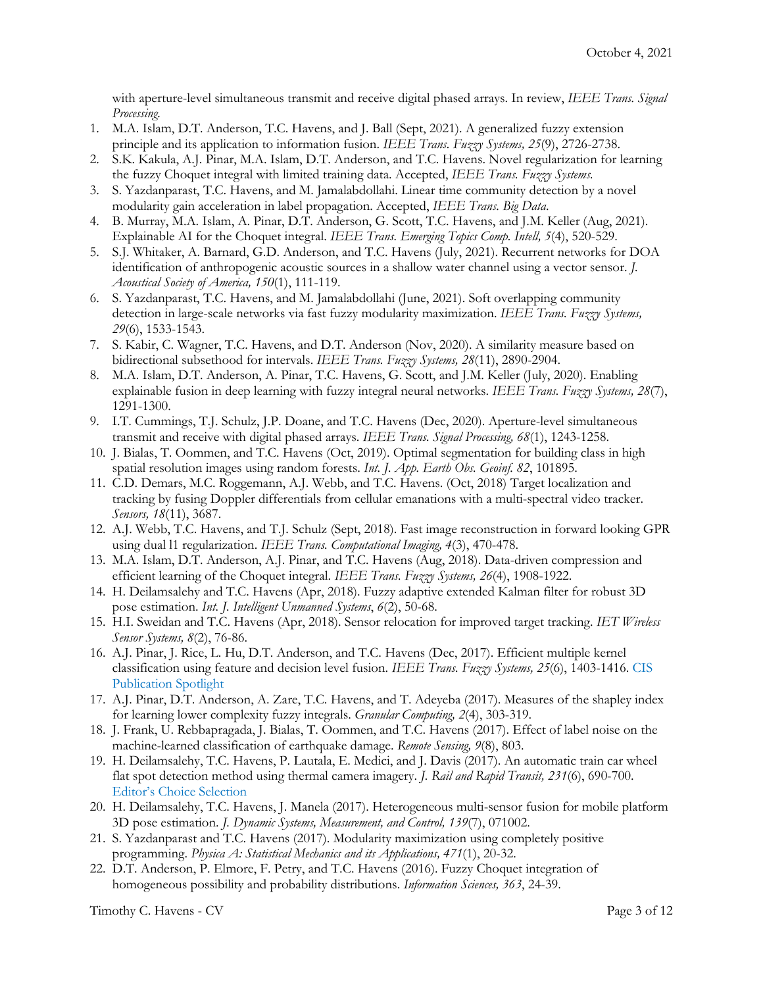with aperture-level simultaneous transmit and receive digital phased arrays. In review, *IEEE Trans. Signal Processing.*

- 1. M.A. Islam, D.T. Anderson, T.C. Havens, and J. Ball (Sept, 2021). A generalized fuzzy extension principle and its application to information fusion. *IEEE Trans. Fuzzy Systems, 25*(9), 2726-2738.
- 2. S.K. Kakula, A.J. Pinar, M.A. Islam, D.T. Anderson, and T.C. Havens. Novel regularization for learning the fuzzy Choquet integral with limited training data. Accepted, *IEEE Trans. Fuzzy Systems.*
- 3. S. Yazdanparast, T.C. Havens, and M. Jamalabdollahi. Linear time community detection by a novel modularity gain acceleration in label propagation. Accepted, *IEEE Trans. Big Data*.
- 4. B. Murray, M.A. Islam, A. Pinar, D.T. Anderson, G. Scott, T.C. Havens, and J.M. Keller (Aug, 2021). Explainable AI for the Choquet integral. *IEEE Trans. Emerging Topics Comp. Intell, 5*(4), 520-529.
- 5. S.J. Whitaker, A. Barnard, G.D. Anderson, and T.C. Havens (July, 2021). Recurrent networks for DOA identification of anthropogenic acoustic sources in a shallow water channel using a vector sensor. *J. Acoustical Society of America, 150*(1), 111-119.
- 6. S. Yazdanparast, T.C. Havens, and M. Jamalabdollahi (June, 2021). Soft overlapping community detection in large-scale networks via fast fuzzy modularity maximization. *IEEE Trans. Fuzzy Systems, 29*(6), 1533-1543.
- 7. S. Kabir, C. Wagner, T.C. Havens, and D.T. Anderson (Nov, 2020). A similarity measure based on bidirectional subsethood for intervals. *IEEE Trans. Fuzzy Systems, 28*(11), 2890-2904.
- 8. M.A. Islam, D.T. Anderson, A. Pinar, T.C. Havens, G. Scott, and J.M. Keller (July, 2020). Enabling explainable fusion in deep learning with fuzzy integral neural networks. *IEEE Trans. Fuzzy Systems, 28*(7), 1291-1300.
- 9. I.T. Cummings, T.J. Schulz, J.P. Doane, and T.C. Havens (Dec, 2020). Aperture-level simultaneous transmit and receive with digital phased arrays. *IEEE Trans. Signal Processing, 68*(1), 1243-1258.
- 10. J. Bialas, T. Oommen, and T.C. Havens (Oct, 2019). Optimal segmentation for building class in high spatial resolution images using random forests. *Int. J. App. Earth Obs. Geoinf. 82*, 101895.
- 11. C.D. Demars, M.C. Roggemann, A.J. Webb, and T.C. Havens. (Oct, 2018) Target localization and tracking by fusing Doppler differentials from cellular emanations with a multi-spectral video tracker. *Sensors, 18*(11), 3687.
- 12. A.J. Webb, T.C. Havens, and T.J. Schulz (Sept, 2018). Fast image reconstruction in forward looking GPR using dual l1 regularization. *IEEE Trans. Computational Imaging, 4*(3), 470-478.
- 13. M.A. Islam, D.T. Anderson, A.J. Pinar, and T.C. Havens (Aug, 2018). Data-driven compression and efficient learning of the Choquet integral. *IEEE Trans. Fuzzy Systems, 26*(4), 1908-1922.
- 14. H. Deilamsalehy and T.C. Havens (Apr, 2018). Fuzzy adaptive extended Kalman filter for robust 3D pose estimation. *Int. J. Intelligent Unmanned Systems*, *6*(2), 50-68.
- 15. H.I. Sweidan and T.C. Havens (Apr, 2018). Sensor relocation for improved target tracking. *IET Wireless Sensor Systems, 8*(2), 76-86.
- 16. A.J. Pinar, J. Rice, L. Hu, D.T. Anderson, and T.C. Havens (Dec, 2017). Efficient multiple kernel classification using feature and decision level fusion. *IEEE Trans. Fuzzy Systems, 25*(6), 1403-1416. CIS Publication Spotlight
- 17. A.J. Pinar, D.T. Anderson, A. Zare, T.C. Havens, and T. Adeyeba (2017). Measures of the shapley index for learning lower complexity fuzzy integrals. *Granular Computing, 2*(4), 303-319.
- 18. J. Frank, U. Rebbapragada, J. Bialas, T. Oommen, and T.C. Havens (2017). Effect of label noise on the machine-learned classification of earthquake damage. *Remote Sensing, 9*(8), 803.
- 19. H. Deilamsalehy, T.C. Havens, P. Lautala, E. Medici, and J. Davis (2017). An automatic train car wheel flat spot detection method using thermal camera imagery. *J. Rail and Rapid Transit, 231*(6), 690-700. Editor's Choice Selection
- 20. H. Deilamsalehy, T.C. Havens, J. Manela (2017). Heterogeneous multi-sensor fusion for mobile platform 3D pose estimation. *J. Dynamic Systems, Measurement, and Control, 139*(7), 071002.
- 21. S. Yazdanparast and T.C. Havens (2017). Modularity maximization using completely positive programming. *Physica A: Statistical Mechanics and its Applications, 471*(1), 20-32.
- 22. D.T. Anderson, P. Elmore, F. Petry, and T.C. Havens (2016). Fuzzy Choquet integration of homogeneous possibility and probability distributions. *Information Sciences, 363*, 24-39.

Timothy C. Havens - CV Page 3 of 12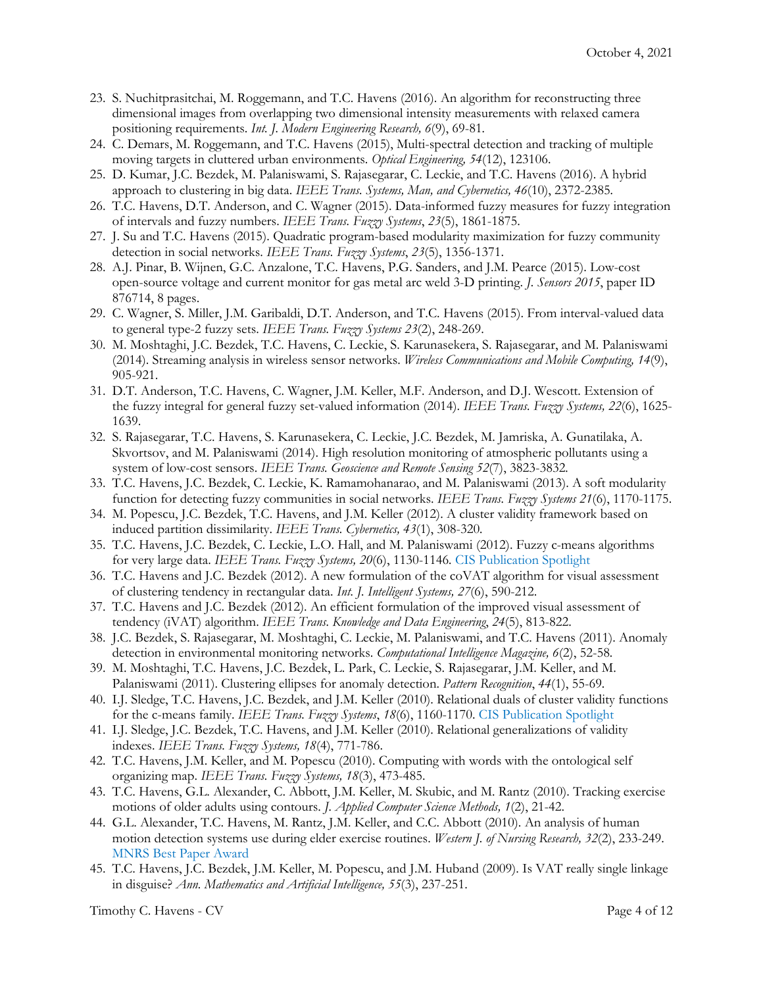- 23. S. Nuchitprasitchai, M. Roggemann, and T.C. Havens (2016). An algorithm for reconstructing three dimensional images from overlapping two dimensional intensity measurements with relaxed camera positioning requirements. *Int. J. Modern Engineering Research, 6*(9), 69-81*.*
- 24. C. Demars, M. Roggemann, and T.C. Havens (2015), Multi-spectral detection and tracking of multiple moving targets in cluttered urban environments. *Optical Engineering, 54*(12), 123106.
- 25. D. Kumar, J.C. Bezdek, M. Palaniswami, S. Rajasegarar, C. Leckie, and T.C. Havens (2016). A hybrid approach to clustering in big data. *IEEE Trans. Systems, Man, and Cybernetics, 46*(10), 2372-2385*.*
- 26. T.C. Havens, D.T. Anderson, and C. Wagner (2015). Data-informed fuzzy measures for fuzzy integration of intervals and fuzzy numbers. *IEEE Trans. Fuzzy Systems*, *23*(5), 1861-1875.
- 27. J. Su and T.C. Havens (2015). Quadratic program-based modularity maximization for fuzzy community detection in social networks. *IEEE Trans. Fuzzy Systems*, *23*(5), 1356-1371.
- 28. A.J. Pinar, B. Wijnen, G.C. Anzalone, T.C. Havens, P.G. Sanders, and J.M. Pearce (2015). Low-cost open-source voltage and current monitor for gas metal arc weld 3-D printing. *J. Sensors 2015*, paper ID 876714, 8 pages.
- 29. C. Wagner, S. Miller, J.M. Garibaldi, D.T. Anderson, and T.C. Havens (2015). From interval-valued data to general type-2 fuzzy sets. *IEEE Trans. Fuzzy Systems 23*(2), 248-269.
- 30. M. Moshtaghi, J.C. Bezdek, T.C. Havens, C. Leckie, S. Karunasekera, S. Rajasegarar, and M. Palaniswami (2014). Streaming analysis in wireless sensor networks. *Wireless Communications and Mobile Computing, 14*(9), 905-921.
- 31. D.T. Anderson, T.C. Havens, C. Wagner, J.M. Keller, M.F. Anderson, and D.J. Wescott. Extension of the fuzzy integral for general fuzzy set-valued information (2014). *IEEE Trans. Fuzzy Systems, 22*(6), 1625- 1639.
- 32. S. Rajasegarar, T.C. Havens, S. Karunasekera, C. Leckie, J.C. Bezdek, M. Jamriska, A. Gunatilaka, A. Skvortsov, and M. Palaniswami (2014). High resolution monitoring of atmospheric pollutants using a system of low-cost sensors. *IEEE Trans. Geoscience and Remote Sensing 52*(7), 3823-3832*.*
- 33. T.C. Havens, J.C. Bezdek, C. Leckie, K. Ramamohanarao, and M. Palaniswami (2013). A soft modularity function for detecting fuzzy communities in social networks. *IEEE Trans. Fuzzy Systems 21*(6), 1170-1175.
- 34. M. Popescu, J.C. Bezdek, T.C. Havens, and J.M. Keller (2012). A cluster validity framework based on induced partition dissimilarity. *IEEE Trans. Cybernetics, 43*(1), 308-320*.*
- 35. T.C. Havens, J.C. Bezdek, C. Leckie, L.O. Hall, and M. Palaniswami (2012). Fuzzy c-means algorithms for very large data. *IEEE Trans. Fuzzy Systems, 20*(6), 1130-1146*.* CIS Publication Spotlight
- 36. T.C. Havens and J.C. Bezdek (2012). A new formulation of the coVAT algorithm for visual assessment of clustering tendency in rectangular data. *Int. J. Intelligent Systems, 27*(6), 590-212.
- 37. T.C. Havens and J.C. Bezdek (2012). An efficient formulation of the improved visual assessment of tendency (iVAT) algorithm. *IEEE Trans. Knowledge and Data Engineering*, *24*(5), 813-822.
- 38. J.C. Bezdek, S. Rajasegarar, M. Moshtaghi, C. Leckie, M. Palaniswami, and T.C. Havens (2011). Anomaly detection in environmental monitoring networks. *Computational Intelligence Magazine, 6*(2), 52-58*.*
- 39. M. Moshtaghi, T.C. Havens, J.C. Bezdek, L. Park, C. Leckie, S. Rajasegarar, J.M. Keller, and M. Palaniswami (2011). Clustering ellipses for anomaly detection. *Pattern Recognition*, *44*(1), 55-69*.*
- 40. I.J. Sledge, T.C. Havens, J.C. Bezdek, and J.M. Keller (2010). Relational duals of cluster validity functions for the c-means family. *IEEE Trans. Fuzzy Systems*, *18*(6), 1160-1170. CIS Publication Spotlight
- 41. I.J. Sledge, J.C. Bezdek, T.C. Havens, and J.M. Keller (2010). Relational generalizations of validity indexes. *IEEE Trans. Fuzzy Systems, 18*(4), 771-786.
- 42. T.C. Havens, J.M. Keller, and M. Popescu (2010). Computing with words with the ontological self organizing map. *IEEE Trans. Fuzzy Systems, 18*(3), 473-485.
- 43. T.C. Havens, G.L. Alexander, C. Abbott, J.M. Keller, M. Skubic, and M. Rantz (2010). Tracking exercise motions of older adults using contours. *J. Applied Computer Science Methods, 1*(2), 21-42.
- 44. G.L. Alexander, T.C. Havens, M. Rantz, J.M. Keller, and C.C. Abbott (2010). An analysis of human motion detection systems use during elder exercise routines. *Western J. of Nursing Research, 32*(2), 233-249. MNRS Best Paper Award
- 45. T.C. Havens, J.C. Bezdek, J.M. Keller, M. Popescu, and J.M. Huband (2009). Is VAT really single linkage in disguise? *Ann. Mathematics and Artificial Intelligence, 55*(3), 237-251.

Timothy C. Havens - CV Page 4 of 12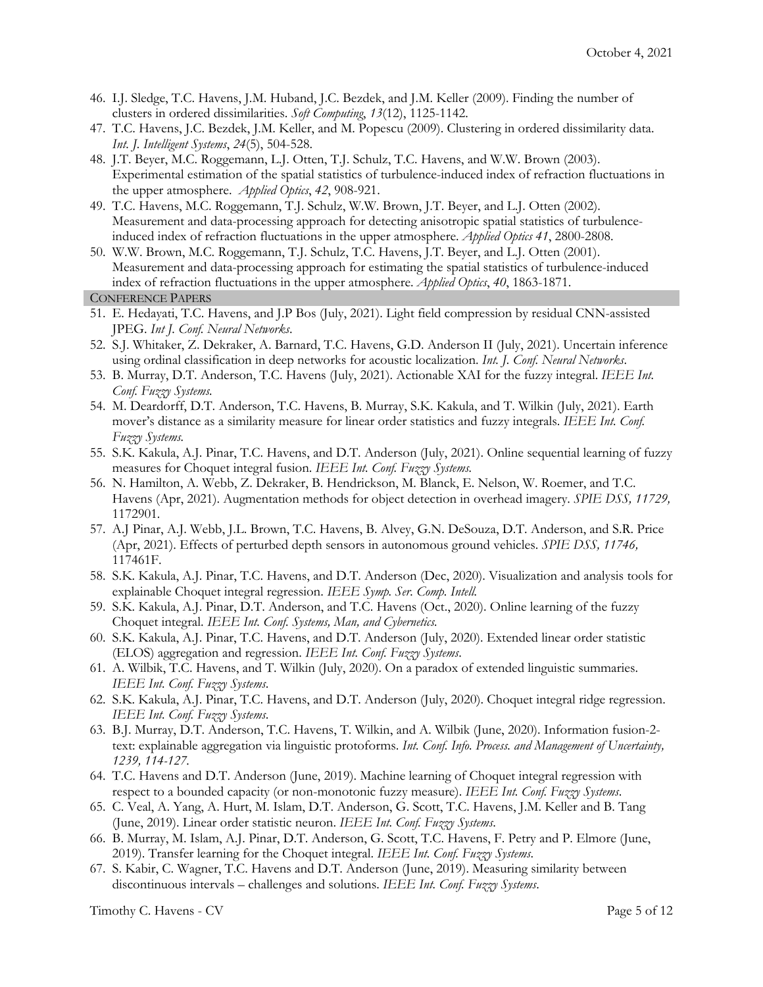- 46. I.J. Sledge, T.C. Havens, J.M. Huband, J.C. Bezdek, and J.M. Keller (2009). Finding the number of clusters in ordered dissimilarities. *Soft Computing*, *13*(12), 1125-1142.
- 47. T.C. Havens, J.C. Bezdek, J.M. Keller, and M. Popescu (2009). Clustering in ordered dissimilarity data. *Int. J. Intelligent Systems*, *24*(5), 504-528.
- 48. J.T. Beyer, M.C. Roggemann, L.J. Otten, T.J. Schulz, T.C. Havens, and W.W. Brown (2003). Experimental estimation of the spatial statistics of turbulence-induced index of refraction fluctuations in the upper atmosphere. *Applied Optics*, *42*, 908-921.
- 49. T.C. Havens, M.C. Roggemann, T.J. Schulz, W.W. Brown, J.T. Beyer, and L.J. Otten (2002). Measurement and data-processing approach for detecting anisotropic spatial statistics of turbulenceinduced index of refraction fluctuations in the upper atmosphere. *Applied Optics 41*, 2800-2808.
- 50. W.W. Brown, M.C. Roggemann, T.J. Schulz, T.C. Havens, J.T. Beyer, and L.J. Otten (2001). Measurement and data-processing approach for estimating the spatial statistics of turbulence-induced index of refraction fluctuations in the upper atmosphere. *Applied Optics*, *40*, 1863-1871. CONFERENCE PAPERS
- 51. E. Hedayati, T.C. Havens, and J.P Bos (July, 2021). Light field compression by residual CNN-assisted JPEG. *Int J. Conf. Neural Networks*.
- 52. S.J. Whitaker, Z. Dekraker, A. Barnard, T.C. Havens, G.D. Anderson II (July, 2021). Uncertain inference using ordinal classification in deep networks for acoustic localization. *Int. J. Conf. Neural Networks*.
- 53. B. Murray, D.T. Anderson, T.C. Havens (July, 2021). Actionable XAI for the fuzzy integral. *IEEE Int. Conf. Fuzzy Systems.*
- 54. M. Deardorff, D.T. Anderson, T.C. Havens, B. Murray, S.K. Kakula, and T. Wilkin (July, 2021). Earth mover's distance as a similarity measure for linear order statistics and fuzzy integrals. *IEEE Int. Conf. Fuzzy Systems.*
- 55. S.K. Kakula, A.J. Pinar, T.C. Havens, and D.T. Anderson (July, 2021). Online sequential learning of fuzzy measures for Choquet integral fusion. *IEEE Int. Conf. Fuzzy Systems.*
- 56. N. Hamilton, A. Webb, Z. Dekraker, B. Hendrickson, M. Blanck, E. Nelson, W. Roemer, and T.C. Havens (Apr, 2021). Augmentation methods for object detection in overhead imagery. *SPIE DSS, 11729,*  1172901*.*
- 57. A.J Pinar, A.J. Webb, J.L. Brown, T.C. Havens, B. Alvey, G.N. DeSouza, D.T. Anderson, and S.R. Price (Apr, 2021). Effects of perturbed depth sensors in autonomous ground vehicles. *SPIE DSS, 11746,*  117461F.
- 58. S.K. Kakula, A.J. Pinar, T.C. Havens, and D.T. Anderson (Dec, 2020). Visualization and analysis tools for explainable Choquet integral regression. *IEEE Symp. Ser. Comp. Intell.*
- 59. S.K. Kakula, A.J. Pinar, D.T. Anderson, and T.C. Havens (Oct., 2020). Online learning of the fuzzy Choquet integral. *IEEE Int. Conf. Systems, Man, and Cybernetics.*
- 60. S.K. Kakula, A.J. Pinar, T.C. Havens, and D.T. Anderson (July, 2020). Extended linear order statistic (ELOS) aggregation and regression. *IEEE Int. Conf. Fuzzy Systems*.
- 61. A. Wilbik, T.C. Havens, and T. Wilkin (July, 2020). On a paradox of extended linguistic summaries. *IEEE Int. Conf. Fuzzy Systems*.
- 62. S.K. Kakula, A.J. Pinar, T.C. Havens, and D.T. Anderson (July, 2020). Choquet integral ridge regression. *IEEE Int. Conf. Fuzzy Systems*.
- 63. B.J. Murray, D.T. Anderson, T.C. Havens, T. Wilkin, and A. Wilbik (June, 2020). Information fusion-2 text: explainable aggregation via linguistic protoforms. *Int. Conf. Info. Process. and Management of Uncertainty, 1239, 114-127.*
- 64. T.C. Havens and D.T. Anderson (June, 2019). Machine learning of Choquet integral regression with respect to a bounded capacity (or non-monotonic fuzzy measure). *IEEE Int. Conf. Fuzzy Systems*.
- 65. C. Veal, A. Yang, A. Hurt, M. Islam, D.T. Anderson, G. Scott, T.C. Havens, J.M. Keller and B. Tang (June, 2019). Linear order statistic neuron. *IEEE Int. Conf. Fuzzy Systems*.
- 66. B. Murray, M. Islam, A.J. Pinar, D.T. Anderson, G. Scott, T.C. Havens, F. Petry and P. Elmore (June, 2019). Transfer learning for the Choquet integral. *IEEE Int. Conf. Fuzzy Systems*.
- 67. S. Kabir, C. Wagner, T.C. Havens and D.T. Anderson (June, 2019). Measuring similarity between discontinuous intervals – challenges and solutions. *IEEE Int. Conf. Fuzzy Systems*.

Timothy C. Havens - CV Page 5 of 12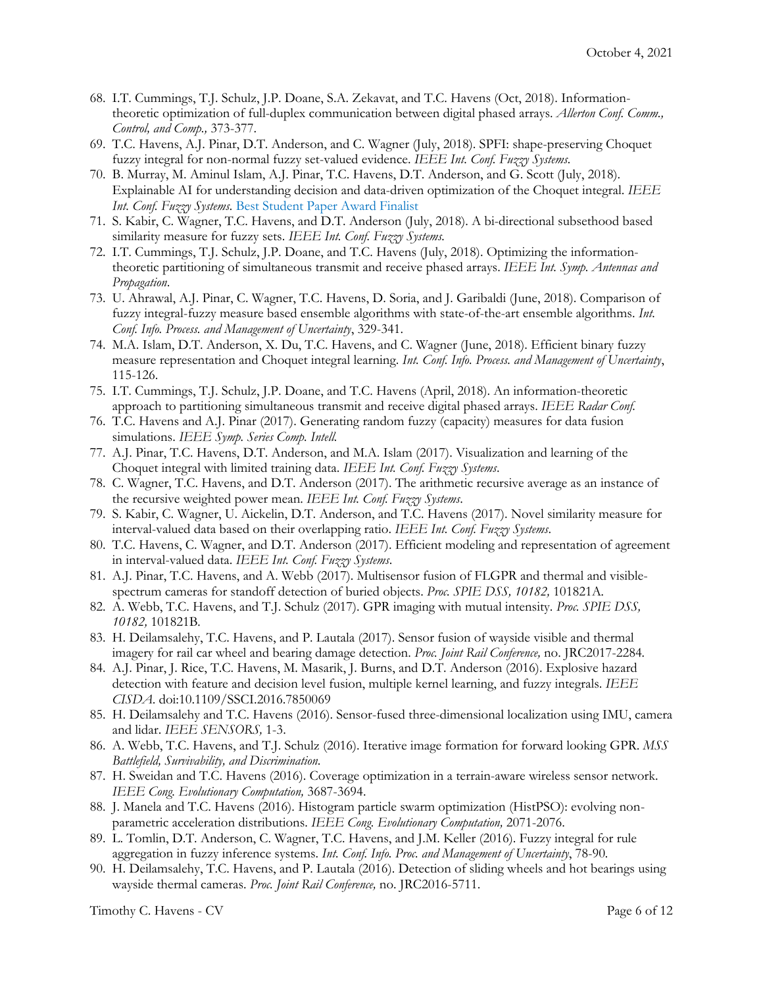- 68. I.T. Cummings, T.J. Schulz, J.P. Doane, S.A. Zekavat, and T.C. Havens (Oct, 2018). Informationtheoretic optimization of full-duplex communication between digital phased arrays. *Allerton Conf. Comm., Control, and Comp.,* 373-377.
- 69. T.C. Havens, A.J. Pinar, D.T. Anderson, and C. Wagner (July, 2018). SPFI: shape-preserving Choquet fuzzy integral for non-normal fuzzy set-valued evidence. *IEEE Int. Conf. Fuzzy Systems.*
- 70. B. Murray, M. Aminul Islam, A.J. Pinar, T.C. Havens, D.T. Anderson, and G. Scott (July, 2018). Explainable AI for understanding decision and data-driven optimization of the Choquet integral. *IEEE Int. Conf. Fuzzy Systems.* Best Student Paper Award Finalist
- 71. S. Kabir, C. Wagner, T.C. Havens, and D.T. Anderson (July, 2018). A bi-directional subsethood based similarity measure for fuzzy sets. *IEEE Int. Conf. Fuzzy Systems.*
- 72. I.T. Cummings, T.J. Schulz, J.P. Doane, and T.C. Havens (July, 2018). Optimizing the informationtheoretic partitioning of simultaneous transmit and receive phased arrays. *IEEE Int. Symp. Antennas and Propagation*.
- 73. U. Ahrawal, A.J. Pinar, C. Wagner, T.C. Havens, D. Soria, and J. Garibaldi (June, 2018). Comparison of fuzzy integral-fuzzy measure based ensemble algorithms with state-of-the-art ensemble algorithms. *Int. Conf. Info. Process. and Management of Uncertainty*, 329-341.
- 74. M.A. Islam, D.T. Anderson, X. Du, T.C. Havens, and C. Wagner (June, 2018). Efficient binary fuzzy measure representation and Choquet integral learning. *Int. Conf. Info. Process. and Management of Uncertainty*, 115-126.
- 75. I.T. Cummings, T.J. Schulz, J.P. Doane, and T.C. Havens (April, 2018). An information-theoretic approach to partitioning simultaneous transmit and receive digital phased arrays. *IEEE Radar Conf.*
- 76. T.C. Havens and A.J. Pinar (2017). Generating random fuzzy (capacity) measures for data fusion simulations. *IEEE Symp. Series Comp. Intell.*
- 77. A.J. Pinar, T.C. Havens, D.T. Anderson, and M.A. Islam (2017). Visualization and learning of the Choquet integral with limited training data. *IEEE Int. Conf. Fuzzy Systems*.
- 78. C. Wagner, T.C. Havens, and D.T. Anderson (2017). The arithmetic recursive average as an instance of the recursive weighted power mean. *IEEE Int. Conf. Fuzzy Systems*.
- 79. S. Kabir, C. Wagner, U. Aickelin, D.T. Anderson, and T.C. Havens (2017). Novel similarity measure for interval-valued data based on their overlapping ratio. *IEEE Int. Conf. Fuzzy Systems*.
- 80. T.C. Havens, C. Wagner, and D.T. Anderson (2017). Efficient modeling and representation of agreement in interval-valued data. *IEEE Int. Conf. Fuzzy Systems*.
- 81. A.J. Pinar, T.C. Havens, and A. Webb (2017). Multisensor fusion of FLGPR and thermal and visiblespectrum cameras for standoff detection of buried objects. *Proc. SPIE DSS, 10182*, 101821A.
- 82. A. Webb, T.C. Havens, and T.J. Schulz (2017). GPR imaging with mutual intensity. *Proc. SPIE DSS, 10182,* 101821B*.*
- 83. H. Deilamsalehy, T.C. Havens, and P. Lautala (2017). Sensor fusion of wayside visible and thermal imagery for rail car wheel and bearing damage detection. *Proc. Joint Rail Conference,* no. JRC2017-2284*.*
- 84. A.J. Pinar, J. Rice, T.C. Havens, M. Masarik, J. Burns, and D.T. Anderson (2016). Explosive hazard detection with feature and decision level fusion, multiple kernel learning, and fuzzy integrals. *IEEE CISDA*. doi:10.1109/SSCI.2016.7850069
- 85. H. Deilamsalehy and T.C. Havens (2016). Sensor-fused three-dimensional localization using IMU, camera and lidar. *IEEE SENSORS,* 1-3.
- 86. A. Webb, T.C. Havens, and T.J. Schulz (2016). Iterative image formation for forward looking GPR. *MSS Battlefield, Survivability, and Discrimination*.
- 87. H. Sweidan and T.C. Havens (2016). Coverage optimization in a terrain-aware wireless sensor network. *IEEE Cong. Evolutionary Computation,* 3687-3694.
- 88. J. Manela and T.C. Havens (2016). Histogram particle swarm optimization (HistPSO): evolving nonparametric acceleration distributions. *IEEE Cong. Evolutionary Computation,* 2071-2076.
- 89. L. Tomlin, D.T. Anderson, C. Wagner, T.C. Havens, and J.M. Keller (2016). Fuzzy integral for rule aggregation in fuzzy inference systems. *Int. Conf. Info. Proc. and Management of Uncertainty*, 78-90*.*
- 90. H. Deilamsalehy, T.C. Havens, and P. Lautala (2016). Detection of sliding wheels and hot bearings using wayside thermal cameras. *Proc. Joint Rail Conference,* no. JRC2016-5711.

Timothy C. Havens - CV Page 6 of 12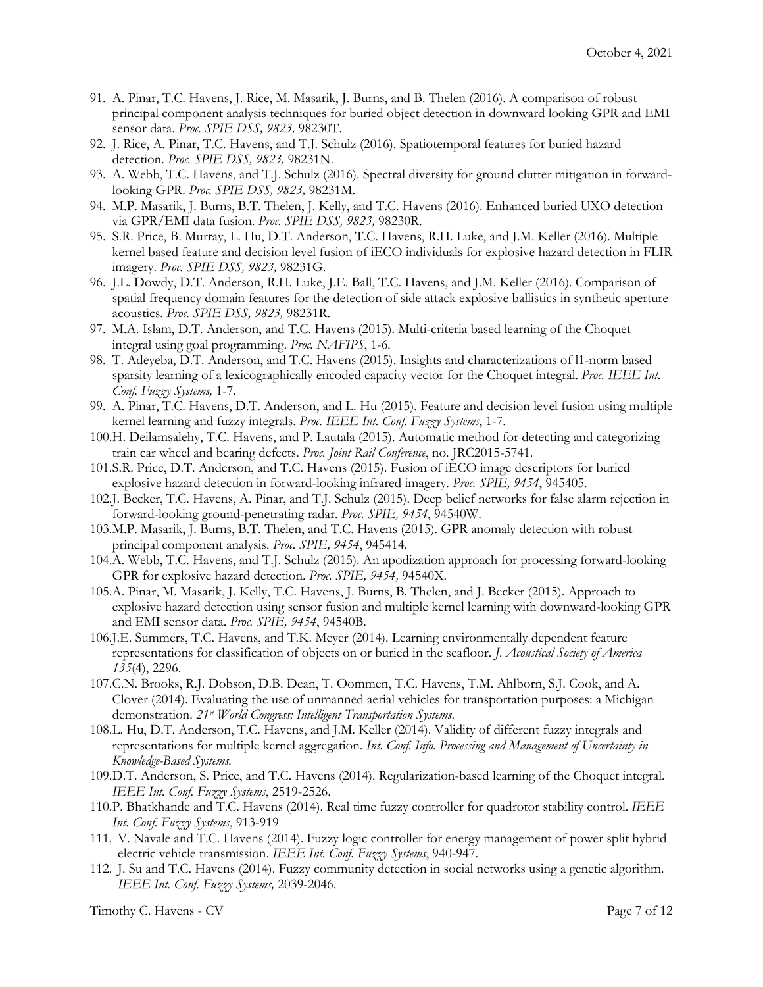- 91. A. Pinar, T.C. Havens, J. Rice, M. Masarik, J. Burns, and B. Thelen (2016). A comparison of robust principal component analysis techniques for buried object detection in downward looking GPR and EMI sensor data. *Proc. SPIE DSS, 9823,* 98230T.
- 92. J. Rice, A. Pinar, T.C. Havens, and T.J. Schulz (2016). Spatiotemporal features for buried hazard detection. *Proc. SPIE DSS, 9823,* 98231N.
- 93. A. Webb, T.C. Havens, and T.J. Schulz (2016). Spectral diversity for ground clutter mitigation in forwardlooking GPR. *Proc. SPIE DSS, 9823,* 98231M.
- 94. M.P. Masarik, J. Burns, B.T. Thelen, J. Kelly, and T.C. Havens (2016). Enhanced buried UXO detection via GPR/EMI data fusion. *Proc. SPIE DSS, 9823,* 98230R.
- 95. S.R. Price, B. Murray, L. Hu, D.T. Anderson, T.C. Havens, R.H. Luke, and J.M. Keller (2016). Multiple kernel based feature and decision level fusion of iECO individuals for explosive hazard detection in FLIR imagery. *Proc. SPIE DSS, 9823,* 98231G.
- 96. J.L. Dowdy, D.T. Anderson, R.H. Luke, J.E. Ball, T.C. Havens, and J.M. Keller (2016). Comparison of spatial frequency domain features for the detection of side attack explosive ballistics in synthetic aperture acoustics. *Proc. SPIE DSS, 9823,* 98231R.
- 97. M.A. Islam, D.T. Anderson, and T.C. Havens (2015). Multi-criteria based learning of the Choquet integral using goal programming. *Proc. NAFIPS*, 1-6*.*
- 98. T. Adeyeba, D.T. Anderson, and T.C. Havens (2015). Insights and characterizations of l1-norm based sparsity learning of a lexicographically encoded capacity vector for the Choquet integral. *Proc. IEEE Int. Conf. Fuzzy Systems,* 1-7.
- 99. A. Pinar, T.C. Havens, D.T. Anderson, and L. Hu (2015). Feature and decision level fusion using multiple kernel learning and fuzzy integrals. *Proc. IEEE Int. Conf. Fuzzy Systems*, 1-7.
- 100.H. Deilamsalehy, T.C. Havens, and P. Lautala (2015). Automatic method for detecting and categorizing train car wheel and bearing defects. *Proc. Joint Rail Conference*, no. JRC2015-5741.
- 101.S.R. Price, D.T. Anderson, and T.C. Havens (2015). Fusion of iECO image descriptors for buried explosive hazard detection in forward-looking infrared imagery. *Proc. SPIE, 9454*, 945405.
- 102.J. Becker, T.C. Havens, A. Pinar, and T.J. Schulz (2015). Deep belief networks for false alarm rejection in forward-looking ground-penetrating radar. *Proc. SPIE, 9454*, 94540W.
- 103.M.P. Masarik, J. Burns, B.T. Thelen, and T.C. Havens (2015). GPR anomaly detection with robust principal component analysis. *Proc. SPIE, 9454*, 945414.
- 104.A. Webb, T.C. Havens, and T.J. Schulz (2015). An apodization approach for processing forward-looking GPR for explosive hazard detection. *Proc. SPIE, 9454,* 94540X.
- 105.A. Pinar, M. Masarik, J. Kelly, T.C. Havens, J. Burns, B. Thelen, and J. Becker (2015). Approach to explosive hazard detection using sensor fusion and multiple kernel learning with downward-looking GPR and EMI sensor data. *Proc. SPIE, 9454*, 94540B.
- 106.J.E. Summers, T.C. Havens, and T.K. Meyer (2014). Learning environmentally dependent feature representations for classification of objects on or buried in the seafloor. *J. Acoustical Society of America 135*(4), 2296.
- 107.C.N. Brooks, R.J. Dobson, D.B. Dean, T. Oommen, T.C. Havens, T.M. Ahlborn, S.J. Cook, and A. Clover (2014). Evaluating the use of unmanned aerial vehicles for transportation purposes: a Michigan demonstration. *21st World Congress: Intelligent Transportation Systems*.
- 108.L. Hu, D.T. Anderson, T.C. Havens, and J.M. Keller (2014). Validity of different fuzzy integrals and representations for multiple kernel aggregation. *Int. Conf. Info. Processing and Management of Uncertainty in Knowledge-Based Systems.*
- 109.D.T. Anderson, S. Price, and T.C. Havens (2014). Regularization-based learning of the Choquet integral. *IEEE Int. Conf. Fuzzy Systems*, 2519-2526.
- 110.P. Bhatkhande and T.C. Havens (2014). Real time fuzzy controller for quadrotor stability control. *IEEE Int. Conf. Fuzzy Systems*, 913-919
- 111. V. Navale and T.C. Havens (2014). Fuzzy logic controller for energy management of power split hybrid electric vehicle transmission. *IEEE Int. Conf. Fuzzy Systems*, 940-947.
- 112. J. Su and T.C. Havens (2014). Fuzzy community detection in social networks using a genetic algorithm. *IEEE Int. Conf. Fuzzy Systems,* 2039-2046.

Timothy C. Havens - CV Page 7 of 12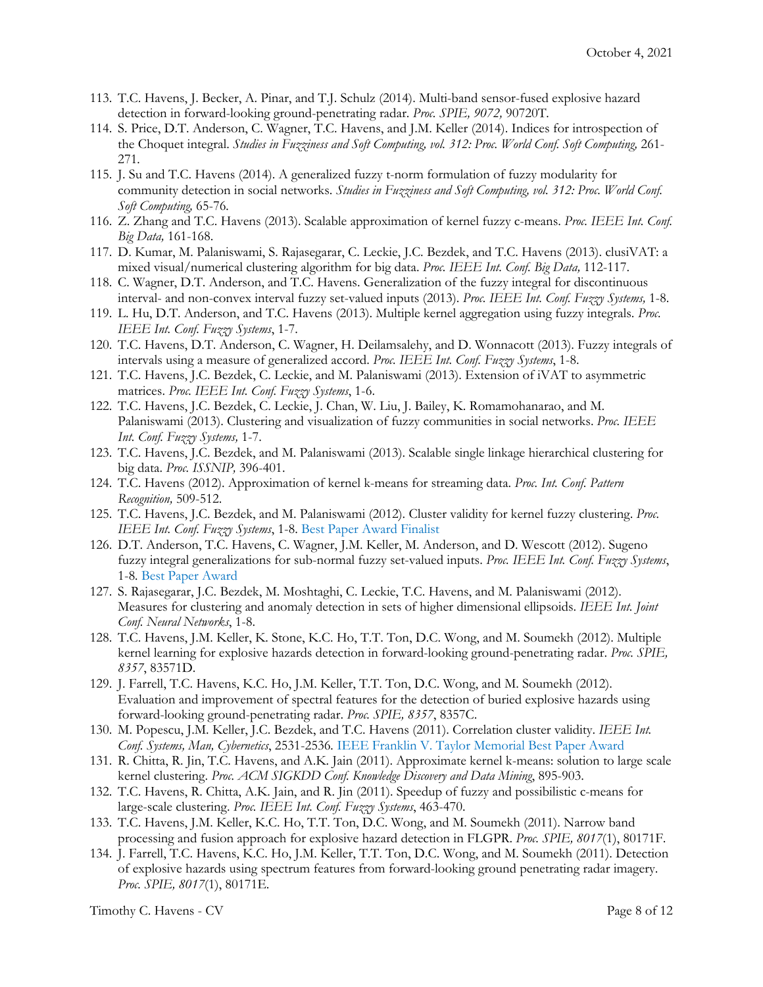- 113. T.C. Havens, J. Becker, A. Pinar, and T.J. Schulz (2014). Multi-band sensor-fused explosive hazard detection in forward-looking ground-penetrating radar. *Proc. SPIE, 9072,* 90720T*.*
- 114. S. Price, D.T. Anderson, C. Wagner, T.C. Havens, and J.M. Keller (2014). Indices for introspection of the Choquet integral. *Studies in Fuzziness and Soft Computing, vol.* 312: Proc. World Conf. Soft Computing, 261-271*.*
- 115. J. Su and T.C. Havens (2014). A generalized fuzzy t-norm formulation of fuzzy modularity for community detection in social networks. *Studies in Fuzziness and Soft Computing, vol. 312: Proc. World Conf. Soft Computing,* 65-76*.*
- 116. Z. Zhang and T.C. Havens (2013). Scalable approximation of kernel fuzzy c-means. *Proc. IEEE Int. Conf. Big Data,* 161-168.
- 117. D. Kumar, M. Palaniswami, S. Rajasegarar, C. Leckie, J.C. Bezdek, and T.C. Havens (2013). clusiVAT: a mixed visual/numerical clustering algorithm for big data. *Proc. IEEE Int. Conf. Big Data,* 112-117.
- 118. C. Wagner, D.T. Anderson, and T.C. Havens. Generalization of the fuzzy integral for discontinuous interval- and non-convex interval fuzzy set-valued inputs (2013). *Proc. IEEE Int. Conf. Fuzzy Systems,* 1-8.
- 119. L. Hu, D.T. Anderson, and T.C. Havens (2013). Multiple kernel aggregation using fuzzy integrals. *Proc. IEEE Int. Conf. Fuzzy Systems*, 1-7.
- 120. T.C. Havens, D.T. Anderson, C. Wagner, H. Deilamsalehy, and D. Wonnacott (2013). Fuzzy integrals of intervals using a measure of generalized accord. *Proc. IEEE Int. Conf. Fuzzy Systems*, 1-8.
- 121. T.C. Havens, J.C. Bezdek, C. Leckie, and M. Palaniswami (2013). Extension of iVAT to asymmetric matrices. *Proc. IEEE Int. Conf. Fuzzy Systems*, 1-6.
- 122. T.C. Havens, J.C. Bezdek, C. Leckie, J. Chan, W. Liu, J. Bailey, K. Romamohanarao, and M. Palaniswami (2013). Clustering and visualization of fuzzy communities in social networks. *Proc. IEEE Int. Conf. Fuzzy Systems,* 1-7.
- 123. T.C. Havens, J.C. Bezdek, and M. Palaniswami (2013). Scalable single linkage hierarchical clustering for big data. *Proc. ISSNIP,* 396-401.
- 124. T.C. Havens (2012). Approximation of kernel k-means for streaming data. *Proc. Int. Conf. Pattern Recognition,* 509-512.
- 125. T.C. Havens, J.C. Bezdek, and M. Palaniswami (2012). Cluster validity for kernel fuzzy clustering. *Proc. IEEE Int. Conf. Fuzzy Systems*, 1-8. Best Paper Award Finalist
- 126. D.T. Anderson, T.C. Havens, C. Wagner, J.M. Keller, M. Anderson, and D. Wescott (2012). Sugeno fuzzy integral generalizations for sub-normal fuzzy set-valued inputs. *Proc. IEEE Int. Conf. Fuzzy Systems*, 1-8*.* Best Paper Award
- 127. S. Rajasegarar, J.C. Bezdek, M. Moshtaghi, C. Leckie, T.C. Havens, and M. Palaniswami (2012). Measures for clustering and anomaly detection in sets of higher dimensional ellipsoids. *IEEE Int. Joint Conf. Neural Networks*, 1-8.
- 128. T.C. Havens, J.M. Keller, K. Stone, K.C. Ho, T.T. Ton, D.C. Wong, and M. Soumekh (2012). Multiple kernel learning for explosive hazards detection in forward-looking ground-penetrating radar. *Proc. SPIE, 8357*, 83571D.
- 129. J. Farrell, T.C. Havens, K.C. Ho, J.M. Keller, T.T. Ton, D.C. Wong, and M. Soumekh (2012). Evaluation and improvement of spectral features for the detection of buried explosive hazards using forward-looking ground-penetrating radar. *Proc. SPIE, 8357*, 8357C.
- 130. M. Popescu, J.M. Keller, J.C. Bezdek, and T.C. Havens (2011). Correlation cluster validity. *IEEE Int. Conf. Systems, Man, Cybernetics*, 2531-2536*.* IEEE Franklin V. Taylor Memorial Best Paper Award
- 131. R. Chitta, R. Jin, T.C. Havens, and A.K. Jain (2011). Approximate kernel k-means: solution to large scale kernel clustering. *Proc. ACM SIGKDD Conf. Knowledge Discovery and Data Mining*, 895-903.
- 132. T.C. Havens, R. Chitta, A.K. Jain, and R. Jin (2011). Speedup of fuzzy and possibilistic c-means for large-scale clustering. *Proc. IEEE Int. Conf. Fuzzy Systems*, 463-470.
- 133. T.C. Havens, J.M. Keller, K.C. Ho, T.T. Ton, D.C. Wong, and M. Soumekh (2011). Narrow band processing and fusion approach for explosive hazard detection in FLGPR. *Proc. SPIE, 8017*(1), 80171F.
- 134. J. Farrell, T.C. Havens, K.C. Ho, J.M. Keller, T.T. Ton, D.C. Wong, and M. Soumekh (2011). Detection of explosive hazards using spectrum features from forward-looking ground penetrating radar imagery. *Proc. SPIE, 8017*(1), 80171E.

Timothy C. Havens - CV Page 8 of 12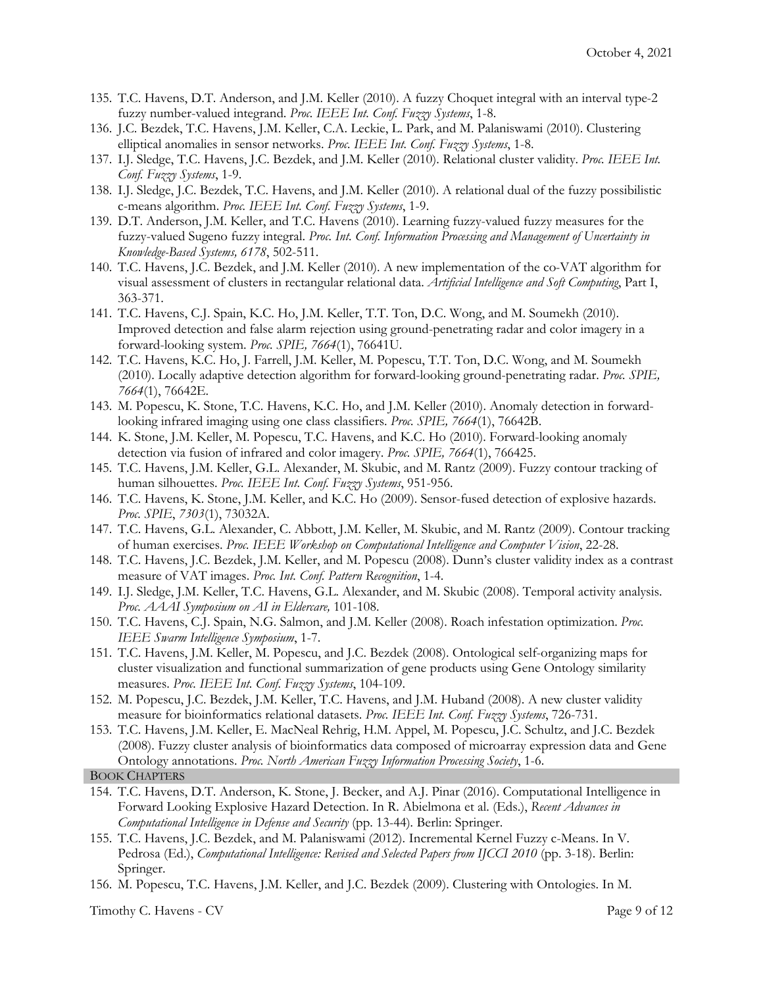- 135. T.C. Havens, D.T. Anderson, and J.M. Keller (2010). A fuzzy Choquet integral with an interval type-2 fuzzy number-valued integrand. *Proc. IEEE Int. Conf. Fuzzy Systems*, 1-8.
- 136. J.C. Bezdek, T.C. Havens, J.M. Keller, C.A. Leckie, L. Park, and M. Palaniswami (2010). Clustering elliptical anomalies in sensor networks. *Proc. IEEE Int. Conf. Fuzzy Systems*, 1-8.
- 137. I.J. Sledge, T.C. Havens, J.C. Bezdek, and J.M. Keller (2010). Relational cluster validity. *Proc. IEEE Int. Conf. Fuzzy Systems*, 1-9.
- 138. I.J. Sledge, J.C. Bezdek, T.C. Havens, and J.M. Keller (2010). A relational dual of the fuzzy possibilistic c-means algorithm. *Proc. IEEE Int. Conf. Fuzzy Systems*, 1-9.
- 139. D.T. Anderson, J.M. Keller, and T.C. Havens (2010). Learning fuzzy-valued fuzzy measures for the fuzzy-valued Sugeno fuzzy integral. *Proc. Int. Conf. Information Processing and Management of Uncertainty in Knowledge-Based Systems, 6178*, 502-511.
- 140. T.C. Havens, J.C. Bezdek, and J.M. Keller (2010). A new implementation of the co-VAT algorithm for visual assessment of clusters in rectangular relational data. *Artificial Intelligence and Soft Computing*, Part I, 363-371.
- 141. T.C. Havens, C.J. Spain, K.C. Ho, J.M. Keller, T.T. Ton, D.C. Wong, and M. Soumekh (2010). Improved detection and false alarm rejection using ground-penetrating radar and color imagery in a forward-looking system. *Proc. SPIE, 7664*(1), 76641U.
- 142. T.C. Havens, K.C. Ho, J. Farrell, J.M. Keller, M. Popescu, T.T. Ton, D.C. Wong, and M. Soumekh (2010). Locally adaptive detection algorithm for forward-looking ground-penetrating radar. *Proc. SPIE, 7664*(1), 76642E.
- 143. M. Popescu, K. Stone, T.C. Havens, K.C. Ho, and J.M. Keller (2010). Anomaly detection in forwardlooking infrared imaging using one class classifiers. *Proc. SPIE, 7664*(1), 76642B.
- 144. K. Stone, J.M. Keller, M. Popescu, T.C. Havens, and K.C. Ho (2010). Forward-looking anomaly detection via fusion of infrared and color imagery. *Proc. SPIE, 7664*(1), 766425.
- 145. T.C. Havens, J.M. Keller, G.L. Alexander, M. Skubic, and M. Rantz (2009). Fuzzy contour tracking of human silhouettes. *Proc. IEEE Int. Conf. Fuzzy Systems*, 951-956.
- 146. T.C. Havens, K. Stone, J.M. Keller, and K.C. Ho (2009). Sensor-fused detection of explosive hazards. *Proc. SPIE*, *7303*(1), 73032A.
- 147. T.C. Havens, G.L. Alexander, C. Abbott, J.M. Keller, M. Skubic, and M. Rantz (2009). Contour tracking of human exercises. *Proc. IEEE Workshop on Computational Intelligence and Computer Vision*, 22-28.
- 148. T.C. Havens, J.C. Bezdek, J.M. Keller, and M. Popescu (2008). Dunn's cluster validity index as a contrast measure of VAT images. *Proc. Int. Conf. Pattern Recognition*, 1-4.
- 149. I.J. Sledge, J.M. Keller, T.C. Havens, G.L. Alexander, and M. Skubic (2008). Temporal activity analysis. *Proc. AAAI Symposium on AI in Eldercare,* 101-108.
- 150. T.C. Havens, C.J. Spain, N.G. Salmon, and J.M. Keller (2008). Roach infestation optimization. *Proc. IEEE Swarm Intelligence Symposium*, 1-7.
- 151. T.C. Havens, J.M. Keller, M. Popescu, and J.C. Bezdek (2008). Ontological self-organizing maps for cluster visualization and functional summarization of gene products using Gene Ontology similarity measures. *Proc. IEEE Int. Conf. Fuzzy Systems*, 104-109.
- 152. M. Popescu, J.C. Bezdek, J.M. Keller, T.C. Havens, and J.M. Huband (2008). A new cluster validity measure for bioinformatics relational datasets. *Proc. IEEE Int. Conf. Fuzzy Systems*, 726-731.
- 153. T.C. Havens, J.M. Keller, E. MacNeal Rehrig, H.M. Appel, M. Popescu, J.C. Schultz, and J.C. Bezdek (2008). Fuzzy cluster analysis of bioinformatics data composed of microarray expression data and Gene Ontology annotations. *Proc. North American Fuzzy Information Processing Society*, 1-6.

## BOOK CHAPTERS

- 154. T.C. Havens, D.T. Anderson, K. Stone, J. Becker, and A.J. Pinar (2016). Computational Intelligence in Forward Looking Explosive Hazard Detection. In R. Abielmona et al. (Eds.), *Recent Advances in Computational Intelligence in Defense and Security* (pp. 13-44)*.* Berlin: Springer.
- 155. T.C. Havens, J.C. Bezdek, and M. Palaniswami (2012). Incremental Kernel Fuzzy c-Means. In V. Pedrosa (Ed.), *Computational Intelligence: Revised and Selected Papers from IJCCI 2010* (pp. 3-18). Berlin: Springer.
- 156. M. Popescu, T.C. Havens, J.M. Keller, and J.C. Bezdek (2009). Clustering with Ontologies. In M.

Timothy C. Havens - CV Page 9 of 12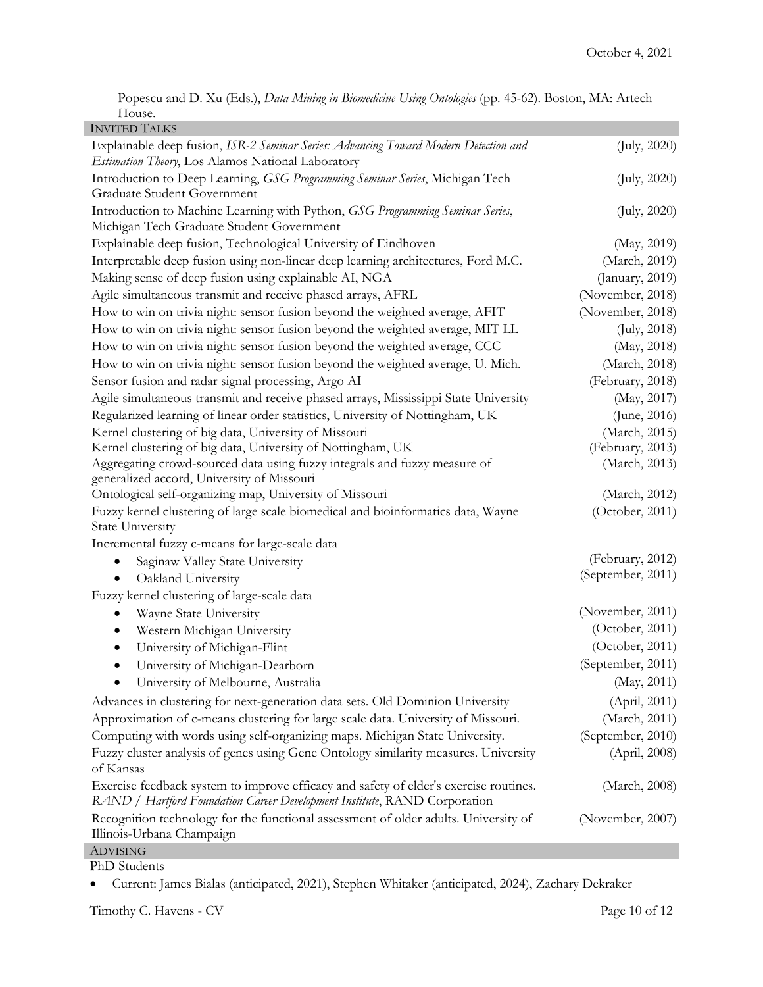Popescu and D. Xu (Eds.), *Data Mining in Biomedicine Using Ontologies* (pp. 45-62). Boston, MA: Artech House.

| <b>INVITED TALKS</b>                                                                                                                                               |                   |
|--------------------------------------------------------------------------------------------------------------------------------------------------------------------|-------------------|
| Explainable deep fusion, ISR-2 Seminar Series: Advancing Toward Modern Detection and                                                                               | (July, 2020)      |
| Estimation Theory, Los Alamos National Laboratory                                                                                                                  |                   |
| Introduction to Deep Learning, GSG Programming Seminar Series, Michigan Tech                                                                                       | (July, 2020)      |
| Graduate Student Government                                                                                                                                        |                   |
| Introduction to Machine Learning with Python, GSG Programming Seminar Series,                                                                                      | (July, 2020)      |
| Michigan Tech Graduate Student Government                                                                                                                          |                   |
| Explainable deep fusion, Technological University of Eindhoven                                                                                                     | (May, 2019)       |
| Interpretable deep fusion using non-linear deep learning architectures, Ford M.C.                                                                                  | (March, 2019)     |
| Making sense of deep fusion using explainable AI, NGA                                                                                                              | (January, 2019)   |
| Agile simultaneous transmit and receive phased arrays, AFRL                                                                                                        | (November, 2018)  |
| How to win on trivia night: sensor fusion beyond the weighted average, AFIT                                                                                        | (November, 2018)  |
| How to win on trivia night: sensor fusion beyond the weighted average, MIT LL                                                                                      | (July, 2018)      |
| How to win on trivia night: sensor fusion beyond the weighted average, CCC                                                                                         | (May, 2018)       |
| How to win on trivia night: sensor fusion beyond the weighted average, U. Mich.                                                                                    | (March, 2018)     |
| Sensor fusion and radar signal processing, Argo AI                                                                                                                 | (February, 2018)  |
| Agile simultaneous transmit and receive phased arrays, Mississippi State University                                                                                | (May, 2017)       |
| Regularized learning of linear order statistics, University of Nottingham, UK                                                                                      | (June, 2016)      |
| Kernel clustering of big data, University of Missouri                                                                                                              | (March, 2015)     |
| Kernel clustering of big data, University of Nottingham, UK                                                                                                        | (February, 2013)  |
| Aggregating crowd-sourced data using fuzzy integrals and fuzzy measure of                                                                                          | (March, 2013)     |
| generalized accord, University of Missouri                                                                                                                         |                   |
| Ontological self-organizing map, University of Missouri                                                                                                            | (March, 2012)     |
| Fuzzy kernel clustering of large scale biomedical and bioinformatics data, Wayne                                                                                   | (October, 2011)   |
| State University                                                                                                                                                   |                   |
| Incremental fuzzy c-means for large-scale data                                                                                                                     |                   |
| Saginaw Valley State University<br>٠                                                                                                                               | (February, 2012)  |
| Oakland University                                                                                                                                                 | (September, 2011) |
| Fuzzy kernel clustering of large-scale data                                                                                                                        |                   |
| Wayne State University<br>٠                                                                                                                                        | (November, 2011)  |
| Western Michigan University<br>٠                                                                                                                                   | (October, 2011)   |
| University of Michigan-Flint<br>٠                                                                                                                                  | (October, 2011)   |
| University of Michigan-Dearborn<br>$\bullet$                                                                                                                       | (September, 2011) |
| University of Melbourne, Australia                                                                                                                                 | (May, 2011)       |
| Advances in clustering for next-generation data sets. Old Dominion University                                                                                      | (April, 2011)     |
| Approximation of c-means clustering for large scale data. University of Missouri.                                                                                  | (March, 2011)     |
| Computing with words using self-organizing maps. Michigan State University.                                                                                        | (September, 2010) |
| Fuzzy cluster analysis of genes using Gene Ontology similarity measures. University                                                                                | (April, 2008)     |
| of Kansas                                                                                                                                                          |                   |
| Exercise feedback system to improve efficacy and safety of elder's exercise routines.<br>RAND / Hartford Foundation Career Development Institute, RAND Corporation | (March, 2008)     |
| Recognition technology for the functional assessment of older adults. University of                                                                                | (November, 2007)  |
| Illinois-Urbana Champaign                                                                                                                                          |                   |
|                                                                                                                                                                    |                   |

ADVISING

PhD Students

• Current: James Bialas (anticipated, 2021), Stephen Whitaker (anticipated, 2024), Zachary Dekraker

Timothy C. Havens - CV Page 10 of 12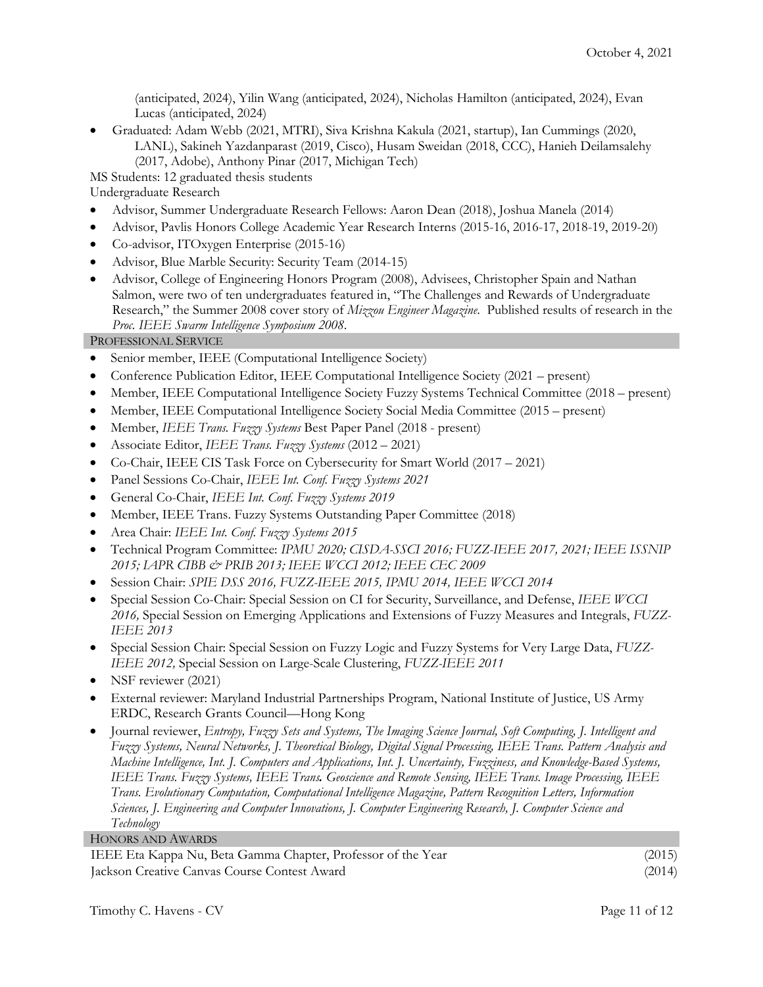(anticipated, 2024), Yilin Wang (anticipated, 2024), Nicholas Hamilton (anticipated, 2024), Evan Lucas (anticipated, 2024)

• Graduated: Adam Webb (2021, MTRI), Siva Krishna Kakula (2021, startup), Ian Cummings (2020, LANL), Sakineh Yazdanparast (2019, Cisco), Husam Sweidan (2018, CCC), Hanieh Deilamsalehy (2017, Adobe), Anthony Pinar (2017, Michigan Tech)

MS Students: 12 graduated thesis students

Undergraduate Research

- Advisor, Summer Undergraduate Research Fellows: Aaron Dean (2018), Joshua Manela (2014)
- Advisor, Pavlis Honors College Academic Year Research Interns (2015-16, 2016-17, 2018-19, 2019-20)
- Co-advisor, ITOxygen Enterprise (2015-16)
- Advisor, Blue Marble Security: Security Team (2014-15)
- Advisor, College of Engineering Honors Program (2008), Advisees, Christopher Spain and Nathan Salmon, were two of ten undergraduates featured in, "The Challenges and Rewards of Undergraduate Research," the Summer 2008 cover story of *Mizzou Engineer Magazine*. Published results of research in the *Proc. IEEE Swarm Intelligence Symposium 2008*.

PROFESSIONAL SERVICE

- Senior member, IEEE (Computational Intelligence Society)
- Conference Publication Editor, IEEE Computational Intelligence Society (2021 present)
- Member, IEEE Computational Intelligence Society Fuzzy Systems Technical Committee (2018 present)
- Member, IEEE Computational Intelligence Society Social Media Committee (2015 present)
- Member, *IEEE Trans. Fuzzy Systems* Best Paper Panel (2018 present)
- Associate Editor, *IEEE Trans. Fuzzy Systems* (2012 2021)
- Co-Chair, IEEE CIS Task Force on Cybersecurity for Smart World (2017 2021)
- Panel Sessions Co-Chair, *IEEE Int. Conf. Fuzzy Systems 2021*
- General Co-Chair, *IEEE Int. Conf. Fuzzy Systems 2019*
- Member, IEEE Trans. Fuzzy Systems Outstanding Paper Committee (2018)
- Area Chair: *IEEE Int. Conf. Fuzzy Systems 2015*
- Technical Program Committee: *IPMU 2020; CISDA-SSCI 2016; FUZZ-IEEE 2017, 2021; IEEE ISSNIP 2015; IAPR CIBB & PRIB 2013; IEEE WCCI 2012; IEEE CEC 2009*
- Session Chair: *SPIE DSS 2016, FUZZ-IEEE 2015, IPMU 2014, IEEE WCCI 2014*
- Special Session Co-Chair: Special Session on CI for Security, Surveillance, and Defense, *IEEE WCCI 2016,* Special Session on Emerging Applications and Extensions of Fuzzy Measures and Integrals, *FUZZ-IEEE 2013*
- Special Session Chair: Special Session on Fuzzy Logic and Fuzzy Systems for Very Large Data, *FUZZ-IEEE 2012,* Special Session on Large-Scale Clustering, *FUZZ-IEEE 2011*
- NSF reviewer (2021)
- External reviewer: Maryland Industrial Partnerships Program, National Institute of Justice, US Army ERDC, Research Grants Council—Hong Kong
- Journal reviewer, *Entropy, Fuzzy Sets and Systems, The Imaging Science Journal, Soft Computing, J. Intelligent and Fuzzy Systems, Neural Networks, J. Theoretical Biology, Digital Signal Processing, IEEE Trans. Pattern Analysis and Machine Intelligence, Int. J. Computers and Applications, Int. J. Uncertainty, Fuzziness, and Knowledge-Based Systems, IEEE Trans. Fuzzy Systems, IEEE Trans. Geoscience and Remote Sensing, IEEE Trans. Image Processing, IEEE Trans. Evolutionary Computation, Computational Intelligence Magazine, Pattern Recognition Letters, Information Sciences, J. Engineering and Computer Innovations, J. Computer Engineering Research, J. Computer Science and Technology*

HONORS AND AWARDS

IEEE Eta Kappa Nu, Beta Gamma Chapter, Professor of the Year (2015) Jackson Creative Canvas Course Contest Award (2014)